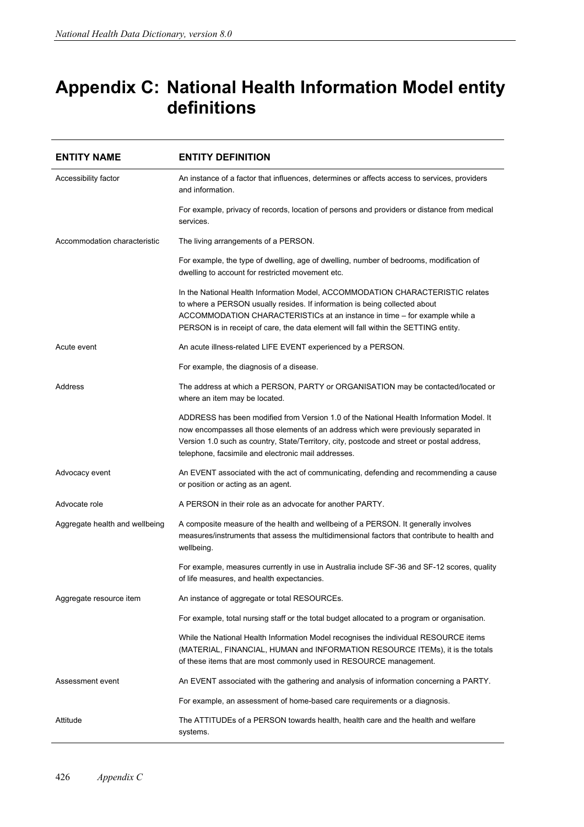## **Appendix C: National Health Information Model entity definitions**

| <b>ENTITY NAME</b>             | <b>ENTITY DEFINITION</b>                                                                                                                                                                                                                                                                                                            |
|--------------------------------|-------------------------------------------------------------------------------------------------------------------------------------------------------------------------------------------------------------------------------------------------------------------------------------------------------------------------------------|
| Accessibility factor           | An instance of a factor that influences, determines or affects access to services, providers<br>and information.                                                                                                                                                                                                                    |
|                                | For example, privacy of records, location of persons and providers or distance from medical<br>services.                                                                                                                                                                                                                            |
| Accommodation characteristic   | The living arrangements of a PERSON.                                                                                                                                                                                                                                                                                                |
|                                | For example, the type of dwelling, age of dwelling, number of bedrooms, modification of<br>dwelling to account for restricted movement etc.                                                                                                                                                                                         |
|                                | In the National Health Information Model, ACCOMMODATION CHARACTERISTIC relates<br>to where a PERSON usually resides. If information is being collected about<br>ACCOMMODATION CHARACTERISTICs at an instance in time – for example while a<br>PERSON is in receipt of care, the data element will fall within the SETTING entity.   |
| Acute event                    | An acute illness-related LIFE EVENT experienced by a PERSON.                                                                                                                                                                                                                                                                        |
|                                | For example, the diagnosis of a disease.                                                                                                                                                                                                                                                                                            |
| Address                        | The address at which a PERSON, PARTY or ORGANISATION may be contacted/located or<br>where an item may be located.                                                                                                                                                                                                                   |
|                                | ADDRESS has been modified from Version 1.0 of the National Health Information Model. It<br>now encompasses all those elements of an address which were previously separated in<br>Version 1.0 such as country, State/Territory, city, postcode and street or postal address,<br>telephone, facsimile and electronic mail addresses. |
| Advocacy event                 | An EVENT associated with the act of communicating, defending and recommending a cause<br>or position or acting as an agent.                                                                                                                                                                                                         |
| Advocate role                  | A PERSON in their role as an advocate for another PARTY.                                                                                                                                                                                                                                                                            |
| Aggregate health and wellbeing | A composite measure of the health and wellbeing of a PERSON. It generally involves<br>measures/instruments that assess the multidimensional factors that contribute to health and<br>wellbeing.                                                                                                                                     |
|                                | For example, measures currently in use in Australia include SF-36 and SF-12 scores, quality<br>of life measures, and health expectancies.                                                                                                                                                                                           |
| Aggregate resource item        | An instance of aggregate or total RESOURCEs.                                                                                                                                                                                                                                                                                        |
|                                | For example, total nursing staff or the total budget allocated to a program or organisation.                                                                                                                                                                                                                                        |
|                                | While the National Health Information Model recognises the individual RESOURCE items<br>(MATERIAL, FINANCIAL, HUMAN and INFORMATION RESOURCE ITEMS), it is the totals<br>of these items that are most commonly used in RESOURCE management.                                                                                         |
| Assessment event               | An EVENT associated with the gathering and analysis of information concerning a PARTY.                                                                                                                                                                                                                                              |
|                                | For example, an assessment of home-based care requirements or a diagnosis.                                                                                                                                                                                                                                                          |
| Attitude                       | The ATTITUDEs of a PERSON towards health, health care and the health and welfare<br>systems.                                                                                                                                                                                                                                        |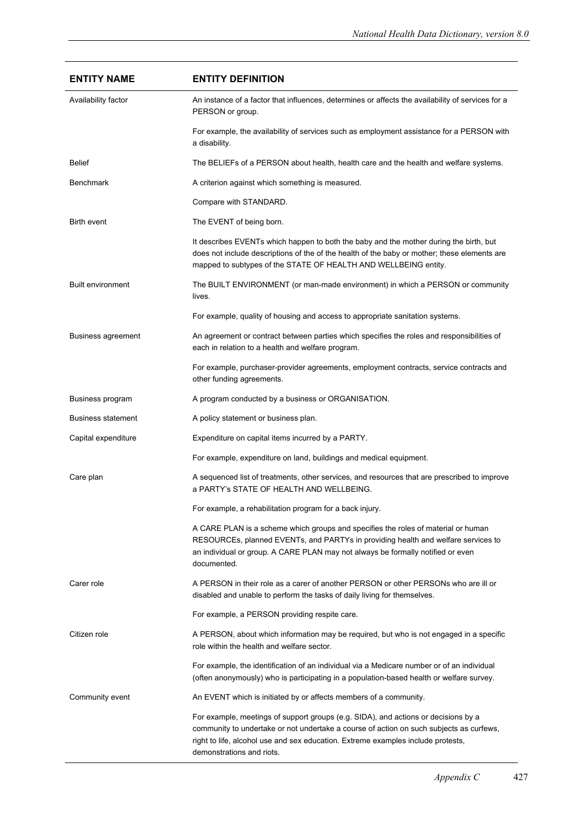| <b>ENTITY NAME</b>        | <b>ENTITY DEFINITION</b>                                                                                                                                                                                                                                                                       |
|---------------------------|------------------------------------------------------------------------------------------------------------------------------------------------------------------------------------------------------------------------------------------------------------------------------------------------|
| Availability factor       | An instance of a factor that influences, determines or affects the availability of services for a<br>PERSON or group.                                                                                                                                                                          |
|                           | For example, the availability of services such as employment assistance for a PERSON with<br>a disability.                                                                                                                                                                                     |
| Belief                    | The BELIEFs of a PERSON about health, health care and the health and welfare systems.                                                                                                                                                                                                          |
| <b>Benchmark</b>          | A criterion against which something is measured.                                                                                                                                                                                                                                               |
|                           | Compare with STANDARD.                                                                                                                                                                                                                                                                         |
| <b>Birth event</b>        | The EVENT of being born.                                                                                                                                                                                                                                                                       |
|                           | It describes EVENTs which happen to both the baby and the mother during the birth, but<br>does not include descriptions of the of the health of the baby or mother; these elements are<br>mapped to subtypes of the STATE OF HEALTH AND WELLBEING entity.                                      |
| <b>Built environment</b>  | The BUILT ENVIRONMENT (or man-made environment) in which a PERSON or community<br>lives.                                                                                                                                                                                                       |
|                           | For example, quality of housing and access to appropriate sanitation systems.                                                                                                                                                                                                                  |
| Business agreement        | An agreement or contract between parties which specifies the roles and responsibilities of<br>each in relation to a health and welfare program.                                                                                                                                                |
|                           | For example, purchaser-provider agreements, employment contracts, service contracts and<br>other funding agreements.                                                                                                                                                                           |
| Business program          | A program conducted by a business or ORGANISATION.                                                                                                                                                                                                                                             |
| <b>Business statement</b> | A policy statement or business plan.                                                                                                                                                                                                                                                           |
| Capital expenditure       | Expenditure on capital items incurred by a PARTY.                                                                                                                                                                                                                                              |
|                           | For example, expenditure on land, buildings and medical equipment.                                                                                                                                                                                                                             |
| Care plan                 | A sequenced list of treatments, other services, and resources that are prescribed to improve<br>a PARTY's STATE OF HEALTH AND WELLBEING.                                                                                                                                                       |
|                           | For example, a rehabilitation program for a back injury.                                                                                                                                                                                                                                       |
|                           | A CARE PLAN is a scheme which groups and specifies the roles of material or human<br>RESOURCEs, planned EVENTs, and PARTYs in providing health and welfare services to<br>an individual or group. A CARE PLAN may not always be formally notified or even<br>documented.                       |
| Carer role                | A PERSON in their role as a carer of another PERSON or other PERSONs who are ill or<br>disabled and unable to perform the tasks of daily living for themselves.                                                                                                                                |
|                           | For example, a PERSON providing respite care.                                                                                                                                                                                                                                                  |
| Citizen role              | A PERSON, about which information may be required, but who is not engaged in a specific<br>role within the health and welfare sector.                                                                                                                                                          |
|                           | For example, the identification of an individual via a Medicare number or of an individual<br>(often anonymously) who is participating in a population-based health or welfare survey.                                                                                                         |
| Community event           | An EVENT which is initiated by or affects members of a community.                                                                                                                                                                                                                              |
|                           | For example, meetings of support groups (e.g. SIDA), and actions or decisions by a<br>community to undertake or not undertake a course of action on such subjects as curfews,<br>right to life, alcohol use and sex education. Extreme examples include protests,<br>demonstrations and riots. |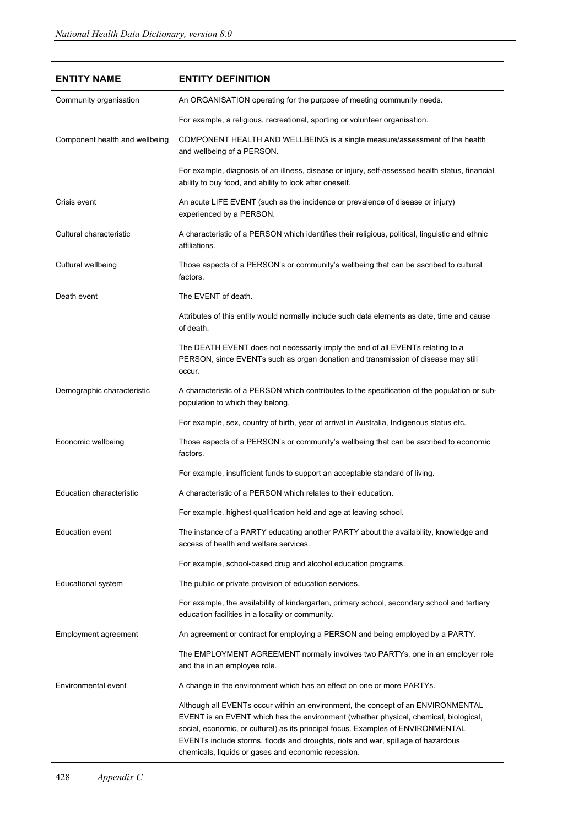| <b>ENTITY NAME</b>              | <b>ENTITY DEFINITION</b>                                                                                                                                                                                                                                                                                                                                                                                |
|---------------------------------|---------------------------------------------------------------------------------------------------------------------------------------------------------------------------------------------------------------------------------------------------------------------------------------------------------------------------------------------------------------------------------------------------------|
| Community organisation          | An ORGANISATION operating for the purpose of meeting community needs.                                                                                                                                                                                                                                                                                                                                   |
|                                 | For example, a religious, recreational, sporting or volunteer organisation.                                                                                                                                                                                                                                                                                                                             |
| Component health and wellbeing  | COMPONENT HEALTH AND WELLBEING is a single measure/assessment of the health<br>and wellbeing of a PERSON.                                                                                                                                                                                                                                                                                               |
|                                 | For example, diagnosis of an illness, disease or injury, self-assessed health status, financial<br>ability to buy food, and ability to look after oneself.                                                                                                                                                                                                                                              |
| Crisis event                    | An acute LIFE EVENT (such as the incidence or prevalence of disease or injury)<br>experienced by a PERSON.                                                                                                                                                                                                                                                                                              |
| Cultural characteristic         | A characteristic of a PERSON which identifies their religious, political, linguistic and ethnic<br>affiliations.                                                                                                                                                                                                                                                                                        |
| Cultural wellbeing              | Those aspects of a PERSON's or community's wellbeing that can be ascribed to cultural<br>factors.                                                                                                                                                                                                                                                                                                       |
| Death event                     | The EVENT of death.                                                                                                                                                                                                                                                                                                                                                                                     |
|                                 | Attributes of this entity would normally include such data elements as date, time and cause<br>of death.                                                                                                                                                                                                                                                                                                |
|                                 | The DEATH EVENT does not necessarily imply the end of all EVENTs relating to a<br>PERSON, since EVENTs such as organ donation and transmission of disease may still<br>occur.                                                                                                                                                                                                                           |
| Demographic characteristic      | A characteristic of a PERSON which contributes to the specification of the population or sub-<br>population to which they belong.                                                                                                                                                                                                                                                                       |
|                                 | For example, sex, country of birth, year of arrival in Australia, Indigenous status etc.                                                                                                                                                                                                                                                                                                                |
| Economic wellbeing              | Those aspects of a PERSON's or community's wellbeing that can be ascribed to economic<br>factors.                                                                                                                                                                                                                                                                                                       |
|                                 | For example, insufficient funds to support an acceptable standard of living.                                                                                                                                                                                                                                                                                                                            |
| <b>Education characteristic</b> | A characteristic of a PERSON which relates to their education.                                                                                                                                                                                                                                                                                                                                          |
|                                 | For example, highest qualification held and age at leaving school.                                                                                                                                                                                                                                                                                                                                      |
| <b>Education event</b>          | The instance of a PARTY educating another PARTY about the availability, knowledge and<br>access of health and welfare services.                                                                                                                                                                                                                                                                         |
|                                 | For example, school-based drug and alcohol education programs.                                                                                                                                                                                                                                                                                                                                          |
| Educational system              | The public or private provision of education services.                                                                                                                                                                                                                                                                                                                                                  |
|                                 | For example, the availability of kindergarten, primary school, secondary school and tertiary<br>education facilities in a locality or community.                                                                                                                                                                                                                                                        |
| Employment agreement            | An agreement or contract for employing a PERSON and being employed by a PARTY.                                                                                                                                                                                                                                                                                                                          |
|                                 | The EMPLOYMENT AGREEMENT normally involves two PARTYs, one in an employer role<br>and the in an employee role.                                                                                                                                                                                                                                                                                          |
| Environmental event             | A change in the environment which has an effect on one or more PARTYs.                                                                                                                                                                                                                                                                                                                                  |
|                                 | Although all EVENTs occur within an environment, the concept of an ENVIRONMENTAL<br>EVENT is an EVENT which has the environment (whether physical, chemical, biological,<br>social, economic, or cultural) as its principal focus. Examples of ENVIRONMENTAL<br>EVENTs include storms, floods and droughts, riots and war, spillage of hazardous<br>chemicals, liquids or gases and economic recession. |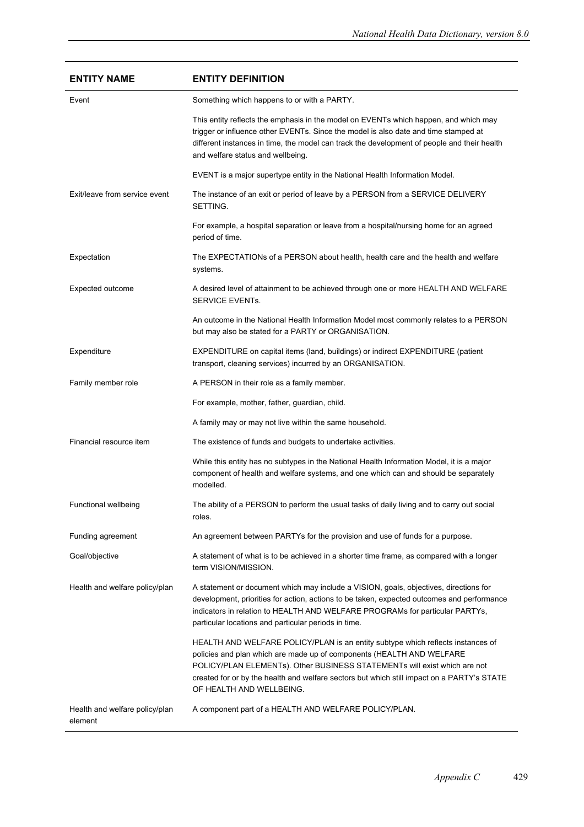| <b>ENTITY NAME</b>                        | <b>ENTITY DEFINITION</b>                                                                                                                                                                                                                                                                                                                                        |
|-------------------------------------------|-----------------------------------------------------------------------------------------------------------------------------------------------------------------------------------------------------------------------------------------------------------------------------------------------------------------------------------------------------------------|
| Event                                     | Something which happens to or with a PARTY.                                                                                                                                                                                                                                                                                                                     |
|                                           | This entity reflects the emphasis in the model on EVENTs which happen, and which may<br>trigger or influence other EVENTs. Since the model is also date and time stamped at<br>different instances in time, the model can track the development of people and their health<br>and welfare status and wellbeing.                                                 |
|                                           | EVENT is a major supertype entity in the National Health Information Model.                                                                                                                                                                                                                                                                                     |
| Exit/leave from service event             | The instance of an exit or period of leave by a PERSON from a SERVICE DELIVERY<br>SETTING.                                                                                                                                                                                                                                                                      |
|                                           | For example, a hospital separation or leave from a hospital/nursing home for an agreed<br>period of time.                                                                                                                                                                                                                                                       |
| Expectation                               | The EXPECTATIONs of a PERSON about health, health care and the health and welfare<br>systems.                                                                                                                                                                                                                                                                   |
| Expected outcome                          | A desired level of attainment to be achieved through one or more HEALTH AND WELFARE<br><b>SERVICE EVENTS.</b>                                                                                                                                                                                                                                                   |
|                                           | An outcome in the National Health Information Model most commonly relates to a PERSON<br>but may also be stated for a PARTY or ORGANISATION.                                                                                                                                                                                                                    |
| Expenditure                               | EXPENDITURE on capital items (land, buildings) or indirect EXPENDITURE (patient<br>transport, cleaning services) incurred by an ORGANISATION.                                                                                                                                                                                                                   |
| Family member role                        | A PERSON in their role as a family member.                                                                                                                                                                                                                                                                                                                      |
|                                           | For example, mother, father, guardian, child.                                                                                                                                                                                                                                                                                                                   |
|                                           | A family may or may not live within the same household.                                                                                                                                                                                                                                                                                                         |
| Financial resource item                   | The existence of funds and budgets to undertake activities.                                                                                                                                                                                                                                                                                                     |
|                                           | While this entity has no subtypes in the National Health Information Model, it is a major<br>component of health and welfare systems, and one which can and should be separately<br>modelled.                                                                                                                                                                   |
| <b>Functional wellbeing</b>               | The ability of a PERSON to perform the usual tasks of daily living and to carry out social<br>roles.                                                                                                                                                                                                                                                            |
| Funding agreement                         | An agreement between PARTYs for the provision and use of funds for a purpose.                                                                                                                                                                                                                                                                                   |
| Goal/objective                            | A statement of what is to be achieved in a shorter time frame, as compared with a longer<br>term VISION/MISSION.                                                                                                                                                                                                                                                |
| Health and welfare policy/plan            | A statement or document which may include a VISION, goals, objectives, directions for<br>development, priorities for action, actions to be taken, expected outcomes and performance<br>indicators in relation to HEALTH AND WELFARE PROGRAMs for particular PARTYs,<br>particular locations and particular periods in time.                                     |
|                                           | HEALTH AND WELFARE POLICY/PLAN is an entity subtype which reflects instances of<br>policies and plan which are made up of components (HEALTH AND WELFARE<br>POLICY/PLAN ELEMENTs). Other BUSINESS STATEMENTs will exist which are not<br>created for or by the health and welfare sectors but which still impact on a PARTY's STATE<br>OF HEALTH AND WELLBEING. |
| Health and welfare policy/plan<br>element | A component part of a HEALTH AND WELFARE POLICY/PLAN.                                                                                                                                                                                                                                                                                                           |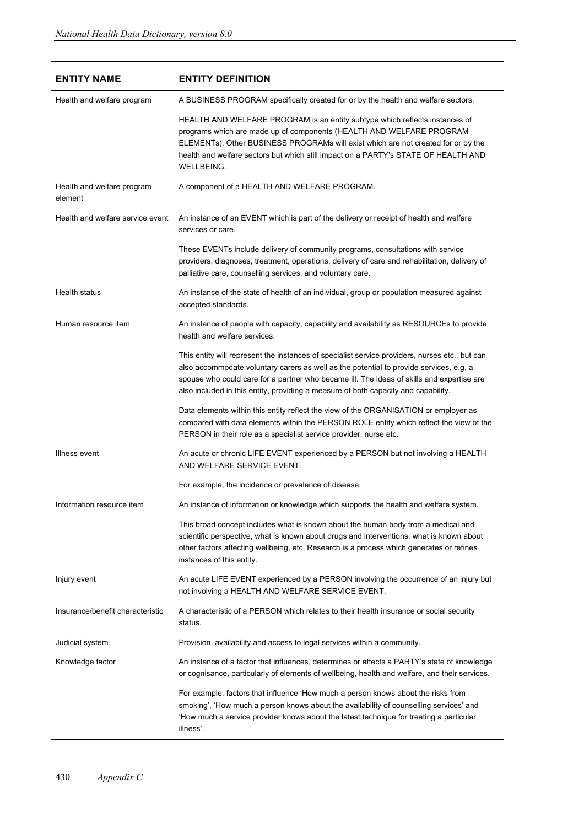| <b>ENTITY NAME</b>                    | <b>ENTITY DEFINITION</b>                                                                                                                                                                                                                                                                                                                                                    |
|---------------------------------------|-----------------------------------------------------------------------------------------------------------------------------------------------------------------------------------------------------------------------------------------------------------------------------------------------------------------------------------------------------------------------------|
| Health and welfare program            | A BUSINESS PROGRAM specifically created for or by the health and welfare sectors.                                                                                                                                                                                                                                                                                           |
|                                       | HEALTH AND WELFARE PROGRAM is an entity subtype which reflects instances of<br>programs which are made up of components (HEALTH AND WELFARE PROGRAM<br>ELEMENTs). Other BUSINESS PROGRAMs will exist which are not created for or by the<br>health and welfare sectors but which still impact on a PARTY's STATE OF HEALTH AND<br>WELLBEING.                                |
| Health and welfare program<br>element | A component of a HEALTH AND WELFARE PROGRAM.                                                                                                                                                                                                                                                                                                                                |
| Health and welfare service event      | An instance of an EVENT which is part of the delivery or receipt of health and welfare<br>services or care.                                                                                                                                                                                                                                                                 |
|                                       | These EVENTs include delivery of community programs, consultations with service<br>providers, diagnoses, treatment, operations, delivery of care and rehabilitation, delivery of<br>palliative care, counselling services, and voluntary care.                                                                                                                              |
| Health status                         | An instance of the state of health of an individual, group or population measured against<br>accepted standards.                                                                                                                                                                                                                                                            |
| Human resource item                   | An instance of people with capacity, capability and availability as RESOURCEs to provide<br>health and welfare services.                                                                                                                                                                                                                                                    |
|                                       | This entity will represent the instances of specialist service providers, nurses etc., but can<br>also accommodate voluntary carers as well as the potential to provide services, e.g. a<br>spouse who could care for a partner who became ill. The ideas of skills and expertise are<br>also included in this entity, providing a measure of both capacity and capability. |
|                                       | Data elements within this entity reflect the view of the ORGANISATION or employer as<br>compared with data elements within the PERSON ROLE entity which reflect the view of the<br>PERSON in their role as a specialist service provider, nurse etc.                                                                                                                        |
| Illness event                         | An acute or chronic LIFE EVENT experienced by a PERSON but not involving a HEALTH<br>AND WELFARE SERVICE EVENT.                                                                                                                                                                                                                                                             |
|                                       | For example, the incidence or prevalence of disease.                                                                                                                                                                                                                                                                                                                        |
| Information resource item             | An instance of information or knowledge which supports the health and welfare system.                                                                                                                                                                                                                                                                                       |
|                                       | This broad concept includes what is known about the human body from a medical and<br>scientific perspective, what is known about drugs and interventions, what is known about<br>other factors affecting wellbeing, etc. Research is a process which generates or refines<br>instances of this entity.                                                                      |
| Injury event                          | An acute LIFE EVENT experienced by a PERSON involving the occurrence of an injury but<br>not involving a HEALTH AND WELFARE SERVICE EVENT.                                                                                                                                                                                                                                  |
| Insurance/benefit characteristic      | A characteristic of a PERSON which relates to their health insurance or social security<br>status.                                                                                                                                                                                                                                                                          |
| Judicial system                       | Provision, availability and access to legal services within a community.                                                                                                                                                                                                                                                                                                    |
| Knowledge factor                      | An instance of a factor that influences, determines or affects a PARTY's state of knowledge<br>or cognisance, particularly of elements of wellbeing, health and welfare, and their services.                                                                                                                                                                                |
|                                       | For example, factors that influence 'How much a person knows about the risks from<br>smoking', 'How much a person knows about the availability of counselling services' and<br>How much a service provider knows about the latest technique for treating a particular<br>illness'.                                                                                          |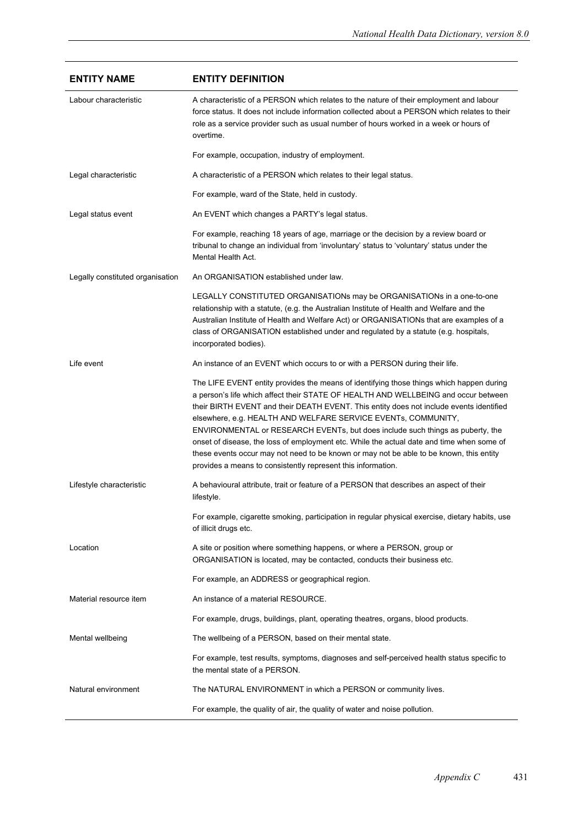| <b>ENTITY NAME</b>               | <b>ENTITY DEFINITION</b>                                                                                                                                                                                                                                                                                                                                                                                                                                                                                                                                                                                                                                                             |
|----------------------------------|--------------------------------------------------------------------------------------------------------------------------------------------------------------------------------------------------------------------------------------------------------------------------------------------------------------------------------------------------------------------------------------------------------------------------------------------------------------------------------------------------------------------------------------------------------------------------------------------------------------------------------------------------------------------------------------|
| Labour characteristic            | A characteristic of a PERSON which relates to the nature of their employment and labour<br>force status. It does not include information collected about a PERSON which relates to their<br>role as a service provider such as usual number of hours worked in a week or hours of<br>overtime.                                                                                                                                                                                                                                                                                                                                                                                       |
|                                  | For example, occupation, industry of employment.                                                                                                                                                                                                                                                                                                                                                                                                                                                                                                                                                                                                                                     |
| Legal characteristic             | A characteristic of a PERSON which relates to their legal status.                                                                                                                                                                                                                                                                                                                                                                                                                                                                                                                                                                                                                    |
|                                  | For example, ward of the State, held in custody.                                                                                                                                                                                                                                                                                                                                                                                                                                                                                                                                                                                                                                     |
| Legal status event               | An EVENT which changes a PARTY's legal status.                                                                                                                                                                                                                                                                                                                                                                                                                                                                                                                                                                                                                                       |
|                                  | For example, reaching 18 years of age, marriage or the decision by a review board or<br>tribunal to change an individual from 'involuntary' status to 'voluntary' status under the<br>Mental Health Act.                                                                                                                                                                                                                                                                                                                                                                                                                                                                             |
| Legally constituted organisation | An ORGANISATION established under law.                                                                                                                                                                                                                                                                                                                                                                                                                                                                                                                                                                                                                                               |
|                                  | LEGALLY CONSTITUTED ORGANISATIONs may be ORGANISATIONs in a one-to-one<br>relationship with a statute, (e.g. the Australian Institute of Health and Welfare and the<br>Australian Institute of Health and Welfare Act) or ORGANISATIONs that are examples of a<br>class of ORGANISATION established under and regulated by a statute (e.g. hospitals,<br>incorporated bodies).                                                                                                                                                                                                                                                                                                       |
| Life event                       | An instance of an EVENT which occurs to or with a PERSON during their life.                                                                                                                                                                                                                                                                                                                                                                                                                                                                                                                                                                                                          |
|                                  | The LIFE EVENT entity provides the means of identifying those things which happen during<br>a person's life which affect their STATE OF HEALTH AND WELLBEING and occur between<br>their BIRTH EVENT and their DEATH EVENT. This entity does not include events identified<br>elsewhere, e.g. HEALTH AND WELFARE SERVICE EVENTs, COMMUNITY,<br>ENVIRONMENTAL or RESEARCH EVENTs, but does include such things as puberty, the<br>onset of disease, the loss of employment etc. While the actual date and time when some of<br>these events occur may not need to be known or may not be able to be known, this entity<br>provides a means to consistently represent this information. |
| Lifestyle characteristic         | A behavioural attribute, trait or feature of a PERSON that describes an aspect of their<br>lifestyle.                                                                                                                                                                                                                                                                                                                                                                                                                                                                                                                                                                                |
|                                  | For example, cigarette smoking, participation in regular physical exercise, dietary habits, use<br>of illicit drugs etc.                                                                                                                                                                                                                                                                                                                                                                                                                                                                                                                                                             |
| Location                         | A site or position where something happens, or where a PERSON, group or<br>ORGANISATION is located, may be contacted, conducts their business etc.                                                                                                                                                                                                                                                                                                                                                                                                                                                                                                                                   |
|                                  | For example, an ADDRESS or geographical region.                                                                                                                                                                                                                                                                                                                                                                                                                                                                                                                                                                                                                                      |
| Material resource item           | An instance of a material RESOURCE.                                                                                                                                                                                                                                                                                                                                                                                                                                                                                                                                                                                                                                                  |
|                                  | For example, drugs, buildings, plant, operating theatres, organs, blood products.                                                                                                                                                                                                                                                                                                                                                                                                                                                                                                                                                                                                    |
| Mental wellbeing                 | The wellbeing of a PERSON, based on their mental state.                                                                                                                                                                                                                                                                                                                                                                                                                                                                                                                                                                                                                              |
|                                  | For example, test results, symptoms, diagnoses and self-perceived health status specific to<br>the mental state of a PERSON.                                                                                                                                                                                                                                                                                                                                                                                                                                                                                                                                                         |
| Natural environment              | The NATURAL ENVIRONMENT in which a PERSON or community lives.                                                                                                                                                                                                                                                                                                                                                                                                                                                                                                                                                                                                                        |
|                                  | For example, the quality of air, the quality of water and noise pollution.                                                                                                                                                                                                                                                                                                                                                                                                                                                                                                                                                                                                           |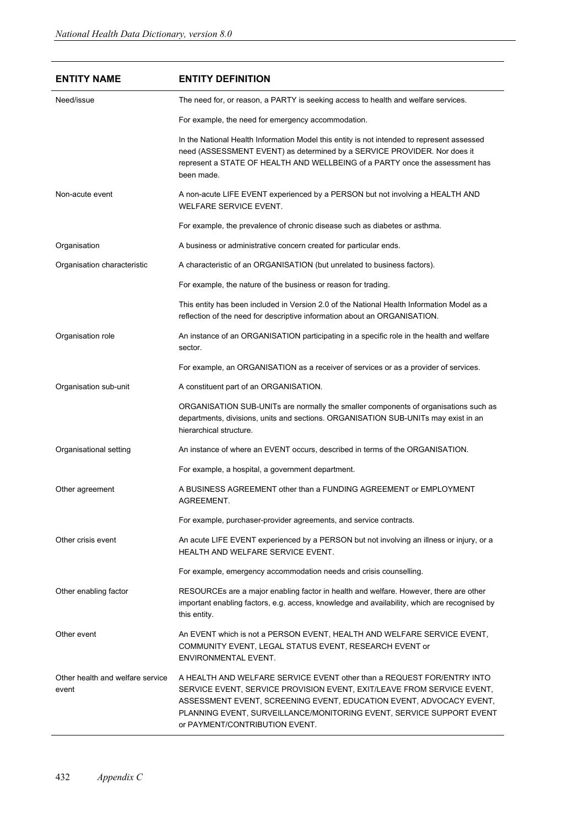| <b>ENTITY NAME</b>                        | <b>ENTITY DEFINITION</b>                                                                                                                                                                                                                                                                                                          |
|-------------------------------------------|-----------------------------------------------------------------------------------------------------------------------------------------------------------------------------------------------------------------------------------------------------------------------------------------------------------------------------------|
| Need/issue                                | The need for, or reason, a PARTY is seeking access to health and welfare services.                                                                                                                                                                                                                                                |
|                                           | For example, the need for emergency accommodation.                                                                                                                                                                                                                                                                                |
|                                           | In the National Health Information Model this entity is not intended to represent assessed<br>need (ASSESSMENT EVENT) as determined by a SERVICE PROVIDER. Nor does it<br>represent a STATE OF HEALTH AND WELLBEING of a PARTY once the assessment has<br>been made.                                                              |
| Non-acute event                           | A non-acute LIFE EVENT experienced by a PERSON but not involving a HEALTH AND<br><b>WELFARE SERVICE EVENT.</b>                                                                                                                                                                                                                    |
|                                           | For example, the prevalence of chronic disease such as diabetes or asthma.                                                                                                                                                                                                                                                        |
| Organisation                              | A business or administrative concern created for particular ends.                                                                                                                                                                                                                                                                 |
| Organisation characteristic               | A characteristic of an ORGANISATION (but unrelated to business factors).                                                                                                                                                                                                                                                          |
|                                           | For example, the nature of the business or reason for trading.                                                                                                                                                                                                                                                                    |
|                                           | This entity has been included in Version 2.0 of the National Health Information Model as a<br>reflection of the need for descriptive information about an ORGANISATION.                                                                                                                                                           |
| Organisation role                         | An instance of an ORGANISATION participating in a specific role in the health and welfare<br>sector.                                                                                                                                                                                                                              |
|                                           | For example, an ORGANISATION as a receiver of services or as a provider of services.                                                                                                                                                                                                                                              |
| Organisation sub-unit                     | A constituent part of an ORGANISATION.                                                                                                                                                                                                                                                                                            |
|                                           | ORGANISATION SUB-UNITs are normally the smaller components of organisations such as<br>departments, divisions, units and sections. ORGANISATION SUB-UNITs may exist in an<br>hierarchical structure.                                                                                                                              |
| Organisational setting                    | An instance of where an EVENT occurs, described in terms of the ORGANISATION.                                                                                                                                                                                                                                                     |
|                                           | For example, a hospital, a government department.                                                                                                                                                                                                                                                                                 |
| Other agreement                           | A BUSINESS AGREEMENT other than a FUNDING AGREEMENT or EMPLOYMENT<br>AGREEMENT.                                                                                                                                                                                                                                                   |
|                                           | For example, purchaser-provider agreements, and service contracts.                                                                                                                                                                                                                                                                |
| Other crisis event                        | An acute LIFE EVENT experienced by a PERSON but not involving an illness or injury, or a<br>HEALTH AND WELFARE SERVICE EVENT.                                                                                                                                                                                                     |
|                                           | For example, emergency accommodation needs and crisis counselling.                                                                                                                                                                                                                                                                |
| Other enabling factor                     | RESOURCEs are a major enabling factor in health and welfare. However, there are other<br>important enabling factors, e.g. access, knowledge and availability, which are recognised by<br>this entity.                                                                                                                             |
| Other event                               | An EVENT which is not a PERSON EVENT, HEALTH AND WELFARE SERVICE EVENT,<br>COMMUNITY EVENT, LEGAL STATUS EVENT, RESEARCH EVENT or<br>ENVIRONMENTAL EVENT.                                                                                                                                                                         |
| Other health and welfare service<br>event | A HEALTH AND WELFARE SERVICE EVENT other than a REQUEST FOR/ENTRY INTO<br>SERVICE EVENT, SERVICE PROVISION EVENT, EXIT/LEAVE FROM SERVICE EVENT,<br>ASSESSMENT EVENT, SCREENING EVENT, EDUCATION EVENT, ADVOCACY EVENT,<br>PLANNING EVENT, SURVEILLANCE/MONITORING EVENT, SERVICE SUPPORT EVENT<br>or PAYMENT/CONTRIBUTION EVENT. |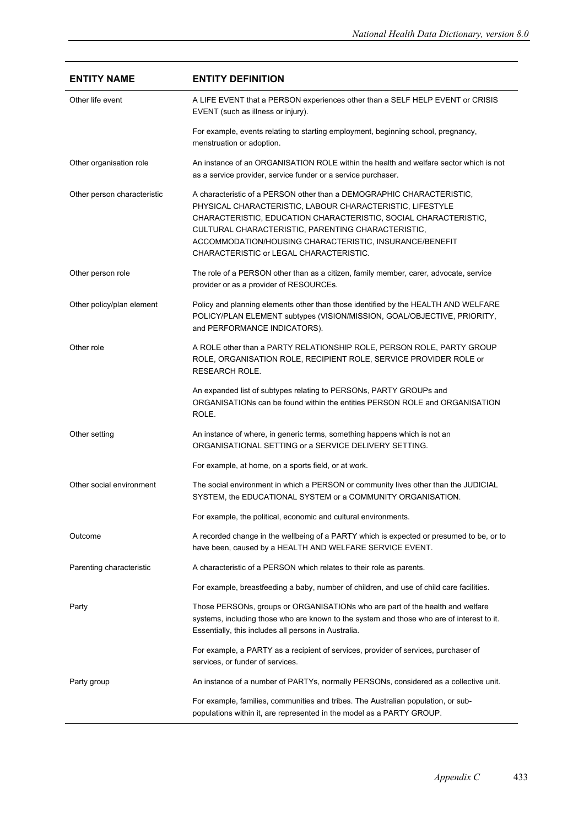| <b>ENTITY NAME</b>          | <b>ENTITY DEFINITION</b>                                                                                                                                                                                                                                                                                                                                           |
|-----------------------------|--------------------------------------------------------------------------------------------------------------------------------------------------------------------------------------------------------------------------------------------------------------------------------------------------------------------------------------------------------------------|
| Other life event            | A LIFE EVENT that a PERSON experiences other than a SELF HELP EVENT or CRISIS<br>EVENT (such as illness or injury).                                                                                                                                                                                                                                                |
|                             | For example, events relating to starting employment, beginning school, pregnancy,<br>menstruation or adoption.                                                                                                                                                                                                                                                     |
| Other organisation role     | An instance of an ORGANISATION ROLE within the health and welfare sector which is not<br>as a service provider, service funder or a service purchaser.                                                                                                                                                                                                             |
| Other person characteristic | A characteristic of a PERSON other than a DEMOGRAPHIC CHARACTERISTIC,<br>PHYSICAL CHARACTERISTIC, LABOUR CHARACTERISTIC, LIFESTYLE<br>CHARACTERISTIC, EDUCATION CHARACTERISTIC, SOCIAL CHARACTERISTIC,<br>CULTURAL CHARACTERISTIC, PARENTING CHARACTERISTIC,<br>ACCOMMODATION/HOUSING CHARACTERISTIC, INSURANCE/BENEFIT<br>CHARACTERISTIC or LEGAL CHARACTERISTIC. |
| Other person role           | The role of a PERSON other than as a citizen, family member, carer, advocate, service<br>provider or as a provider of RESOURCEs.                                                                                                                                                                                                                                   |
| Other policy/plan element   | Policy and planning elements other than those identified by the HEALTH AND WELFARE<br>POLICY/PLAN ELEMENT subtypes (VISION/MISSION, GOAL/OBJECTIVE, PRIORITY,<br>and PERFORMANCE INDICATORS).                                                                                                                                                                      |
| Other role                  | A ROLE other than a PARTY RELATIONSHIP ROLE, PERSON ROLE, PARTY GROUP<br>ROLE, ORGANISATION ROLE, RECIPIENT ROLE, SERVICE PROVIDER ROLE or<br><b>RESEARCH ROLE.</b>                                                                                                                                                                                                |
|                             | An expanded list of subtypes relating to PERSONs, PARTY GROUPs and<br>ORGANISATIONs can be found within the entities PERSON ROLE and ORGANISATION<br>ROLE.                                                                                                                                                                                                         |
| Other setting               | An instance of where, in generic terms, something happens which is not an<br>ORGANISATIONAL SETTING or a SERVICE DELIVERY SETTING.                                                                                                                                                                                                                                 |
|                             | For example, at home, on a sports field, or at work.                                                                                                                                                                                                                                                                                                               |
| Other social environment    | The social environment in which a PERSON or community lives other than the JUDICIAL<br>SYSTEM, the EDUCATIONAL SYSTEM or a COMMUNITY ORGANISATION.                                                                                                                                                                                                                 |
|                             | For example, the political, economic and cultural environments.                                                                                                                                                                                                                                                                                                    |
| Outcome                     | A recorded change in the wellbeing of a PARTY which is expected or presumed to be, or to<br>have been, caused by a HEALTH AND WELFARE SERVICE EVENT.                                                                                                                                                                                                               |
| Parenting characteristic    | A characteristic of a PERSON which relates to their role as parents.                                                                                                                                                                                                                                                                                               |
|                             | For example, breastfeeding a baby, number of children, and use of child care facilities.                                                                                                                                                                                                                                                                           |
| Party                       | Those PERSONs, groups or ORGANISATIONs who are part of the health and welfare<br>systems, including those who are known to the system and those who are of interest to it.<br>Essentially, this includes all persons in Australia.                                                                                                                                 |
|                             | For example, a PARTY as a recipient of services, provider of services, purchaser of<br>services, or funder of services.                                                                                                                                                                                                                                            |
| Party group                 | An instance of a number of PARTYs, normally PERSONs, considered as a collective unit.                                                                                                                                                                                                                                                                              |
|                             | For example, families, communities and tribes. The Australian population, or sub-<br>populations within it, are represented in the model as a PARTY GROUP.                                                                                                                                                                                                         |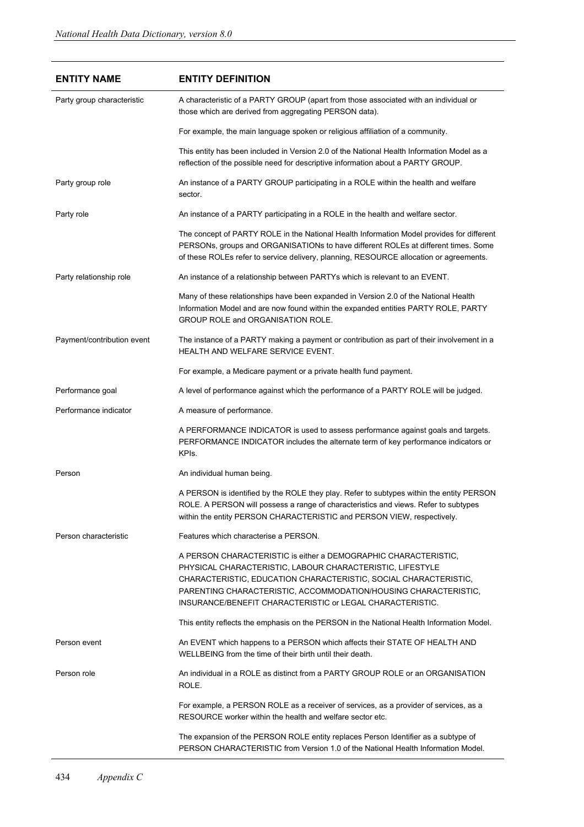| <b>ENTITY NAME</b>         | <b>ENTITY DEFINITION</b>                                                                                                                                                                                                                                                                                                         |
|----------------------------|----------------------------------------------------------------------------------------------------------------------------------------------------------------------------------------------------------------------------------------------------------------------------------------------------------------------------------|
| Party group characteristic | A characteristic of a PARTY GROUP (apart from those associated with an individual or<br>those which are derived from aggregating PERSON data).                                                                                                                                                                                   |
|                            | For example, the main language spoken or religious affiliation of a community.                                                                                                                                                                                                                                                   |
|                            | This entity has been included in Version 2.0 of the National Health Information Model as a<br>reflection of the possible need for descriptive information about a PARTY GROUP.                                                                                                                                                   |
| Party group role           | An instance of a PARTY GROUP participating in a ROLE within the health and welfare<br>sector.                                                                                                                                                                                                                                    |
| Party role                 | An instance of a PARTY participating in a ROLE in the health and welfare sector.                                                                                                                                                                                                                                                 |
|                            | The concept of PARTY ROLE in the National Health Information Model provides for different<br>PERSONs, groups and ORGANISATIONs to have different ROLEs at different times. Some<br>of these ROLEs refer to service delivery, planning, RESOURCE allocation or agreements.                                                        |
| Party relationship role    | An instance of a relationship between PARTYs which is relevant to an EVENT.                                                                                                                                                                                                                                                      |
|                            | Many of these relationships have been expanded in Version 2.0 of the National Health<br>Information Model and are now found within the expanded entities PARTY ROLE, PARTY<br>GROUP ROLE and ORGANISATION ROLE.                                                                                                                  |
| Payment/contribution event | The instance of a PARTY making a payment or contribution as part of their involvement in a<br>HEALTH AND WELFARE SERVICE EVENT.                                                                                                                                                                                                  |
|                            | For example, a Medicare payment or a private health fund payment.                                                                                                                                                                                                                                                                |
| Performance goal           | A level of performance against which the performance of a PARTY ROLE will be judged.                                                                                                                                                                                                                                             |
| Performance indicator      | A measure of performance.                                                                                                                                                                                                                                                                                                        |
|                            | A PERFORMANCE INDICATOR is used to assess performance against goals and targets.<br>PERFORMANCE INDICATOR includes the alternate term of key performance indicators or<br>KPIs.                                                                                                                                                  |
| Person                     | An individual human being.                                                                                                                                                                                                                                                                                                       |
|                            | A PERSON is identified by the ROLE they play. Refer to subtypes within the entity PERSON<br>ROLE. A PERSON will possess a range of characteristics and views. Refer to subtypes<br>within the entity PERSON CHARACTERISTIC and PERSON VIEW, respectively.                                                                        |
| Person characteristic      | Features which characterise a PERSON.                                                                                                                                                                                                                                                                                            |
|                            | A PERSON CHARACTERISTIC is either a DEMOGRAPHIC CHARACTERISTIC,<br>PHYSICAL CHARACTERISTIC, LABOUR CHARACTERISTIC, LIFESTYLE<br>CHARACTERISTIC, EDUCATION CHARACTERISTIC, SOCIAL CHARACTERISTIC,<br>PARENTING CHARACTERISTIC, ACCOMMODATION/HOUSING CHARACTERISTIC,<br>INSURANCE/BENEFIT CHARACTERISTIC or LEGAL CHARACTERISTIC. |
|                            | This entity reflects the emphasis on the PERSON in the National Health Information Model.                                                                                                                                                                                                                                        |
| Person event               | An EVENT which happens to a PERSON which affects their STATE OF HEALTH AND<br>WELLBEING from the time of their birth until their death.                                                                                                                                                                                          |
| Person role                | An individual in a ROLE as distinct from a PARTY GROUP ROLE or an ORGANISATION<br>ROLE.                                                                                                                                                                                                                                          |
|                            | For example, a PERSON ROLE as a receiver of services, as a provider of services, as a<br>RESOURCE worker within the health and welfare sector etc.                                                                                                                                                                               |
|                            | The expansion of the PERSON ROLE entity replaces Person Identifier as a subtype of<br>PERSON CHARACTERISTIC from Version 1.0 of the National Health Information Model.                                                                                                                                                           |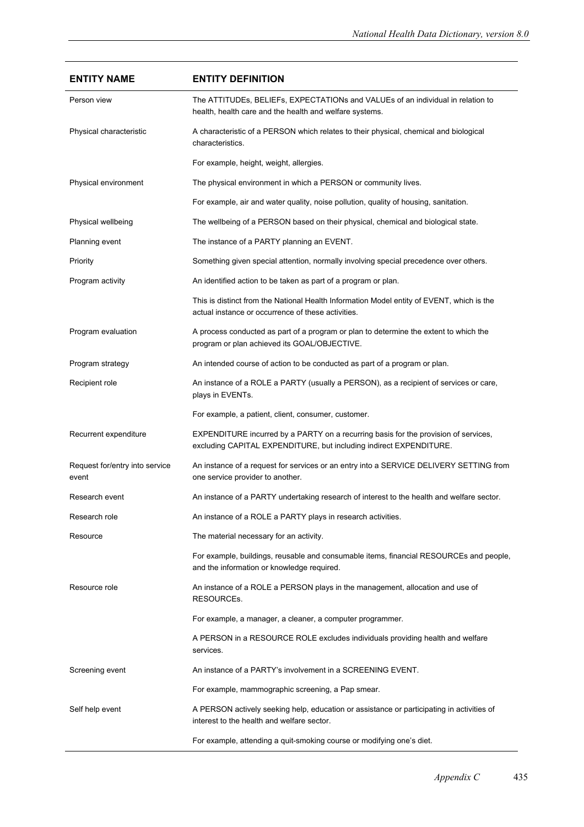| <b>ENTITY NAME</b>                      | <b>ENTITY DEFINITION</b>                                                                                                                                  |
|-----------------------------------------|-----------------------------------------------------------------------------------------------------------------------------------------------------------|
| Person view                             | The ATTITUDEs, BELIEFs, EXPECTATIONs and VALUEs of an individual in relation to<br>health, health care and the health and welfare systems.                |
| Physical characteristic                 | A characteristic of a PERSON which relates to their physical, chemical and biological<br>characteristics.                                                 |
|                                         | For example, height, weight, allergies.                                                                                                                   |
| Physical environment                    | The physical environment in which a PERSON or community lives.                                                                                            |
|                                         | For example, air and water quality, noise pollution, quality of housing, sanitation.                                                                      |
| Physical wellbeing                      | The wellbeing of a PERSON based on their physical, chemical and biological state.                                                                         |
| Planning event                          | The instance of a PARTY planning an EVENT.                                                                                                                |
| Priority                                | Something given special attention, normally involving special precedence over others.                                                                     |
| Program activity                        | An identified action to be taken as part of a program or plan.                                                                                            |
|                                         | This is distinct from the National Health Information Model entity of EVENT, which is the<br>actual instance or occurrence of these activities.           |
| Program evaluation                      | A process conducted as part of a program or plan to determine the extent to which the<br>program or plan achieved its GOAL/OBJECTIVE.                     |
| Program strategy                        | An intended course of action to be conducted as part of a program or plan.                                                                                |
| Recipient role                          | An instance of a ROLE a PARTY (usually a PERSON), as a recipient of services or care,<br>plays in EVENTs.                                                 |
|                                         | For example, a patient, client, consumer, customer.                                                                                                       |
| Recurrent expenditure                   | EXPENDITURE incurred by a PARTY on a recurring basis for the provision of services,<br>excluding CAPITAL EXPENDITURE, but including indirect EXPENDITURE. |
| Request for/entry into service<br>event | An instance of a request for services or an entry into a SERVICE DELIVERY SETTING from<br>one service provider to another.                                |
| Research event                          | An instance of a PARTY undertaking research of interest to the health and welfare sector.                                                                 |
| Research role                           | An instance of a ROLE a PARTY plays in research activities.                                                                                               |
| Resource                                | The material necessary for an activity.                                                                                                                   |
|                                         | For example, buildings, reusable and consumable items, financial RESOURCEs and people,<br>and the information or knowledge required.                      |
| Resource role                           | An instance of a ROLE a PERSON plays in the management, allocation and use of<br><b>RESOURCES.</b>                                                        |
|                                         | For example, a manager, a cleaner, a computer programmer.                                                                                                 |
|                                         | A PERSON in a RESOURCE ROLE excludes individuals providing health and welfare<br>services.                                                                |
| Screening event                         | An instance of a PARTY's involvement in a SCREENING EVENT.                                                                                                |
|                                         | For example, mammographic screening, a Pap smear.                                                                                                         |
| Self help event                         | A PERSON actively seeking help, education or assistance or participating in activities of<br>interest to the health and welfare sector.                   |
|                                         | For example, attending a quit-smoking course or modifying one's diet.                                                                                     |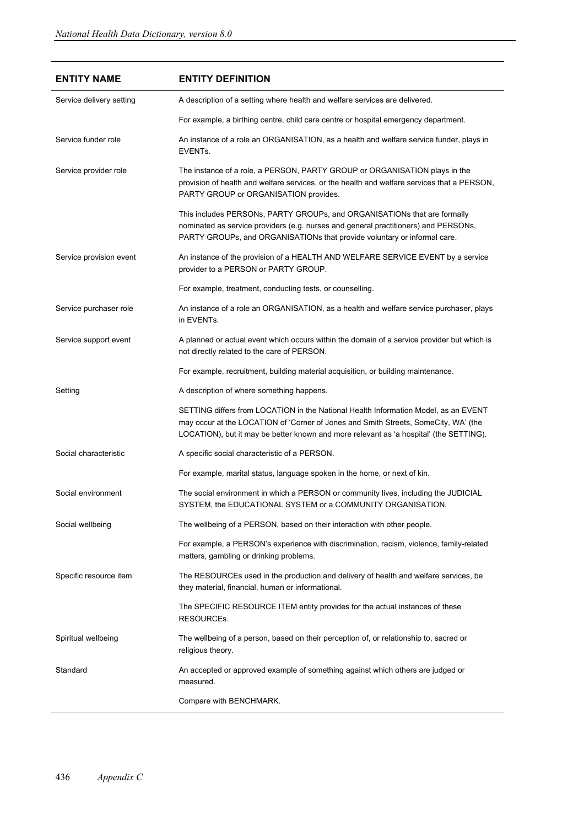| <b>ENTITY NAME</b>       | <b>ENTITY DEFINITION</b>                                                                                                                                                                                                                                             |
|--------------------------|----------------------------------------------------------------------------------------------------------------------------------------------------------------------------------------------------------------------------------------------------------------------|
| Service delivery setting | A description of a setting where health and welfare services are delivered.                                                                                                                                                                                          |
|                          | For example, a birthing centre, child care centre or hospital emergency department.                                                                                                                                                                                  |
| Service funder role      | An instance of a role an ORGANISATION, as a health and welfare service funder, plays in<br>EVENTs.                                                                                                                                                                   |
| Service provider role    | The instance of a role, a PERSON, PARTY GROUP or ORGANISATION plays in the<br>provision of health and welfare services, or the health and welfare services that a PERSON,<br>PARTY GROUP or ORGANISATION provides.                                                   |
|                          | This includes PERSONs, PARTY GROUPs, and ORGANISATIONs that are formally<br>nominated as service providers (e.g. nurses and general practitioners) and PERSONs,<br>PARTY GROUPs, and ORGANISATIONs that provide voluntary or informal care.                          |
| Service provision event  | An instance of the provision of a HEALTH AND WELFARE SERVICE EVENT by a service<br>provider to a PERSON or PARTY GROUP.                                                                                                                                              |
|                          | For example, treatment, conducting tests, or counselling.                                                                                                                                                                                                            |
| Service purchaser role   | An instance of a role an ORGANISATION, as a health and welfare service purchaser, plays<br>in EVENTs.                                                                                                                                                                |
| Service support event    | A planned or actual event which occurs within the domain of a service provider but which is<br>not directly related to the care of PERSON.                                                                                                                           |
|                          | For example, recruitment, building material acquisition, or building maintenance.                                                                                                                                                                                    |
| Setting                  | A description of where something happens.                                                                                                                                                                                                                            |
|                          | SETTING differs from LOCATION in the National Health Information Model, as an EVENT<br>may occur at the LOCATION of 'Corner of Jones and Smith Streets, SomeCity, WA' (the<br>LOCATION), but it may be better known and more relevant as 'a hospital' (the SETTING). |
| Social characteristic    | A specific social characteristic of a PERSON.                                                                                                                                                                                                                        |
|                          | For example, marital status, language spoken in the home, or next of kin.                                                                                                                                                                                            |
| Social environment       | The social environment in which a PERSON or community lives, including the JUDICIAL<br>SYSTEM, the EDUCATIONAL SYSTEM or a COMMUNITY ORGANISATION.                                                                                                                   |
| Social wellbeing         | The wellbeing of a PERSON, based on their interaction with other people.                                                                                                                                                                                             |
|                          | For example, a PERSON's experience with discrimination, racism, violence, family-related<br>matters, gambling or drinking problems.                                                                                                                                  |
| Specific resource item   | The RESOURCEs used in the production and delivery of health and welfare services, be<br>they material, financial, human or informational.                                                                                                                            |
|                          | The SPECIFIC RESOURCE ITEM entity provides for the actual instances of these<br>RESOURCEs.                                                                                                                                                                           |
| Spiritual wellbeing      | The wellbeing of a person, based on their perception of, or relationship to, sacred or<br>religious theory.                                                                                                                                                          |
| Standard                 | An accepted or approved example of something against which others are judged or<br>measured.                                                                                                                                                                         |
|                          | Compare with BENCHMARK.                                                                                                                                                                                                                                              |